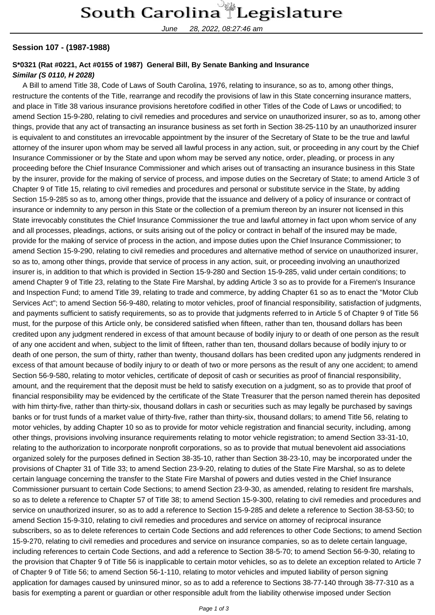June 28, 2022, 08:27:46 am

## **Session 107 - (1987-1988)**

## **S\*0321 (Rat #0221, Act #0155 of 1987) General Bill, By Senate Banking and Insurance Similar (S 0110, H 2028)**

 A Bill to amend Title 38, Code of Laws of South Carolina, 1976, relating to insurance, so as to, among other things, restructure the contents of the Title, rearrange and recodify the provisions of law in this State concerning insurance matters, and place in Title 38 various insurance provisions heretofore codified in other Titles of the Code of Laws or uncodified; to amend Section 15-9-280, relating to civil remedies and procedures and service on unauthorized insurer, so as to, among other things, provide that any act of transacting an insurance business as set forth in Section 38-25-110 by an unauthorized insurer is equivalent to and constitutes an irrevocable appointment by the insurer of the Secretary of State to be the true and lawful attorney of the insurer upon whom may be served all lawful process in any action, suit, or proceeding in any court by the Chief Insurance Commissioner or by the State and upon whom may be served any notice, order, pleading, or process in any proceeding before the Chief Insurance Commissioner and which arises out of transacting an insurance business in this State by the insurer, provide for the making of service of process, and impose duties on the Secretary of State; to amend Article 3 of Chapter 9 of Title 15, relating to civil remedies and procedures and personal or substitute service in the State, by adding Section 15-9-285 so as to, among other things, provide that the issuance and delivery of a policy of insurance or contract of insurance or indemnity to any person in this State or the collection of a premium thereon by an insurer not licensed in this State irrevocably constitutes the Chief Insurance Commissioner the true and lawful attorney in fact upon whom service of any and all processes, pleadings, actions, or suits arising out of the policy or contract in behalf of the insured may be made, provide for the making of service of process in the action, and impose duties upon the Chief Insurance Commissioner; to amend Section 15-9-290, relating to civil remedies and procedures and alternative method of service on unauthorized insurer, so as to, among other things, provide that service of process in any action, suit, or proceeding involving an unauthorized insurer is, in addition to that which is provided in Section 15-9-280 and Section 15-9-285, valid under certain conditions; to amend Chapter 9 of Title 23, relating to the State Fire Marshal, by adding Article 3 so as to provide for a Firemen's Insurance and Inspection Fund; to amend Title 39, relating to trade and commerce, by adding Chapter 61 so as to enact the "Motor Club Services Act"; to amend Section 56-9-480, relating to motor vehicles, proof of financial responsibility, satisfaction of judgments, and payments sufficient to satisfy requirements, so as to provide that judgments referred to in Article 5 of Chapter 9 of Title 56 must, for the purpose of this Article only, be considered satisfied when fifteen, rather than ten, thousand dollars has been credited upon any judgment rendered in excess of that amount because of bodily injury to or death of one person as the result of any one accident and when, subject to the limit of fifteen, rather than ten, thousand dollars because of bodily injury to or death of one person, the sum of thirty, rather than twenty, thousand dollars has been credited upon any judgments rendered in excess of that amount because of bodily injury to or death of two or more persons as the result of any one accident; to amend Section 56-9-580, relating to motor vehicles, certificate of deposit of cash or securities as proof of financial responsibility, amount, and the requirement that the deposit must be held to satisfy execution on a judgment, so as to provide that proof of financial responsibility may be evidenced by the certificate of the State Treasurer that the person named therein has deposited with him thirty-five, rather than thirty-six, thousand dollars in cash or securities such as may legally be purchased by savings banks or for trust funds of a market value of thirty-five, rather than thirty-six, thousand dollars; to amend Title 56, relating to motor vehicles, by adding Chapter 10 so as to provide for motor vehicle registration and financial security, including, among other things, provisions involving insurance requirements relating to motor vehicle registration; to amend Section 33-31-10, relating to the authorization to incorporate nonprofit corporations, so as to provide that mutual benevolent aid associations organized solely for the purposes defined in Section 38-35-10, rather than Section 38-23-10, may be incorporated under the provisions of Chapter 31 of Title 33; to amend Section 23-9-20, relating to duties of the State Fire Marshal, so as to delete certain language concerning the transfer to the State Fire Marshal of powers and duties vested in the Chief Insurance Commissioner pursuant to certain Code Sections; to amend Section 23-9-30, as amended, relating to resident fire marshals, so as to delete a reference to Chapter 57 of Title 38; to amend Section 15-9-300, relating to civil remedies and procedures and service on unauthorized insurer, so as to add a reference to Section 15-9-285 and delete a reference to Section 38-53-50; to amend Section 15-9-310, relating to civil remedies and procedures and service on attorney of reciprocal insurance subscribers, so as to delete references to certain Code Sections and add references to other Code Sections; to amend Section 15-9-270, relating to civil remedies and procedures and service on insurance companies, so as to delete certain language, including references to certain Code Sections, and add a reference to Section 38-5-70; to amend Section 56-9-30, relating to the provision that Chapter 9 of Title 56 is inapplicable to certain motor vehicles, so as to delete an exception related to Article 7 of Chapter 9 of Title 56; to amend Section 56-1-110, relating to motor vehicles and imputed liability of person signing application for damages caused by uninsured minor, so as to add a reference to Sections 38-77-140 through 38-77-310 as a basis for exempting a parent or guardian or other responsible adult from the liability otherwise imposed under Section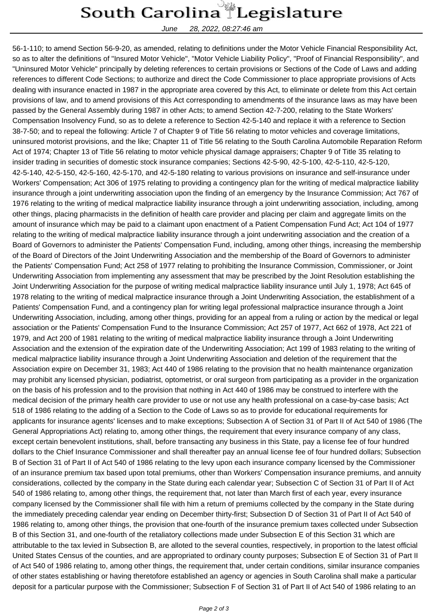## South Carolina Legislature

June 28, 2022, 08:27:46 am

56-1-110; to amend Section 56-9-20, as amended, relating to definitions under the Motor Vehicle Financial Responsibility Act, so as to alter the definitions of "Insured Motor Vehicle", "Motor Vehicle Liability Policy", "Proof of Financial Responsibility", and "Uninsured Motor Vehicle" principally by deleting references to certain provisions or Sections of the Code of Laws and adding references to different Code Sections; to authorize and direct the Code Commissioner to place appropriate provisions of Acts dealing with insurance enacted in 1987 in the appropriate area covered by this Act, to eliminate or delete from this Act certain provisions of law, and to amend provisions of this Act corresponding to amendments of the insurance laws as may have been passed by the General Assembly during 1987 in other Acts; to amend Section 42-7-200, relating to the State Workers' Compensation Insolvency Fund, so as to delete a reference to Section 42-5-140 and replace it with a reference to Section 38-7-50; and to repeal the following: Article 7 of Chapter 9 of Title 56 relating to motor vehicles and coverage limitations, uninsured motorist provisions, and the like; Chapter 11 of Title 56 relating to the South Carolina Automobile Reparation Reform Act of 1974; Chapter 13 of Title 56 relating to motor vehicle physical damage appraisers; Chapter 9 of Title 35 relating to insider trading in securities of domestic stock insurance companies; Sections 42-5-90, 42-5-100, 42-5-110, 42-5-120, 42-5-140, 42-5-150, 42-5-160, 42-5-170, and 42-5-180 relating to various provisions on insurance and self-insurance under Workers' Compensation; Act 306 of 1975 relating to providing a contingency plan for the writing of medical malpractice liability insurance through a joint underwriting association upon the finding of an emergency by the Insurance Commission; Act 767 of 1976 relating to the writing of medical malpractice liability insurance through a joint underwriting association, including, among other things, placing pharmacists in the definition of health care provider and placing per claim and aggregate limits on the amount of insurance which may be paid to a claimant upon enactment of a Patient Compensation Fund Act; Act 104 of 1977 relating to the writing of medical malpractice liability insurance through a joint underwriting association and the creation of a Board of Governors to administer the Patients' Compensation Fund, including, among other things, increasing the membership of the Board of Directors of the Joint Underwriting Association and the membership of the Board of Governors to administer the Patients' Compensation Fund; Act 258 of 1977 relating to prohibiting the Insurance Commission, Commissioner, or Joint Underwriting Association from implementing any assessment that may be prescribed by the Joint Resolution establishing the Joint Underwriting Association for the purpose of writing medical malpractice liability insurance until July 1, 1978; Act 645 of 1978 relating to the writing of medical malpractice insurance through a Joint Underwriting Association, the establishment of a Patients' Compensation Fund, and a contingency plan for writing legal professional malpractice insurance through a Joint Underwriting Association, including, among other things, providing for an appeal from a ruling or action by the medical or legal association or the Patients' Compensation Fund to the Insurance Commission; Act 257 of 1977, Act 662 of 1978, Act 221 of 1979, and Act 200 of 1981 relating to the writing of medical malpractice liability insurance through a Joint Underwriting Association and the extension of the expiration date of the Underwriting Association; Act 199 of 1983 relating to the writing of medical malpractice liability insurance through a Joint Underwriting Association and deletion of the requirement that the Association expire on December 31, 1983; Act 440 of 1986 relating to the provision that no health maintenance organization may prohibit any licensed physician, podiatrist, optometrist, or oral surgeon from participating as a provider in the organization on the basis of his profession and to the provision that nothing in Act 440 of 1986 may be construed to interfere with the medical decision of the primary health care provider to use or not use any health professional on a case-by-case basis; Act 518 of 1986 relating to the adding of a Section to the Code of Laws so as to provide for educational requirements for applicants for insurance agents' licenses and to make exceptions; Subsection A of Section 31 of Part II of Act 540 of 1986 (The General Appropriations Act) relating to, among other things, the requirement that every insurance company of any class, except certain benevolent institutions, shall, before transacting any business in this State, pay a license fee of four hundred dollars to the Chief Insurance Commissioner and shall thereafter pay an annual license fee of four hundred dollars; Subsection B of Section 31 of Part II of Act 540 of 1986 relating to the levy upon each insurance company licensed by the Commissioner of an insurance premium tax based upon total premiums, other than Workers' Compensation insurance premiums, and annuity considerations, collected by the company in the State during each calendar year; Subsection C of Section 31 of Part II of Act 540 of 1986 relating to, among other things, the requirement that, not later than March first of each year, every insurance company licensed by the Commissioner shall file with him a return of premiums collected by the company in the State during the immediately preceding calendar year ending on December thirty-first; Subsection D of Section 31 of Part II of Act 540 of 1986 relating to, among other things, the provision that one-fourth of the insurance premium taxes collected under Subsection B of this Section 31, and one-fourth of the retaliatory collections made under Subsection E of this Section 31 which are attributable to the tax levied in Subsection B, are alloted to the several counties, respectively, in proportion to the latest official United States Census of the counties, and are appropriated to ordinary county purposes; Subsection E of Section 31 of Part II of Act 540 of 1986 relating to, among other things, the requirement that, under certain conditions, similar insurance companies of other states establishing or having theretofore established an agency or agencies in South Carolina shall make a particular deposit for a particular purpose with the Commissioner; Subsection F of Section 31 of Part II of Act 540 of 1986 relating to an